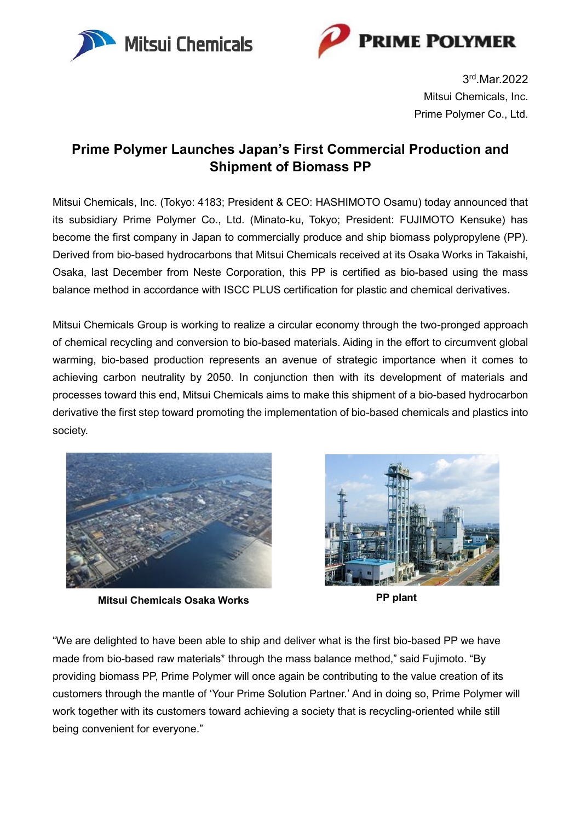



3 rd .Mar.2022 Mitsui Chemicals, Inc. Prime Polymer Co., Ltd.

## **Prime Polymer Launches Japan's First Commercial Production and Shipment of Biomass PP**

Mitsui Chemicals, Inc. (Tokyo: 4183; President & CEO: HASHIMOTO Osamu) today announced that its subsidiary Prime Polymer Co., Ltd. (Minato-ku, Tokyo; President: FUJIMOTO Kensuke) has become the first company in Japan to commercially produce and ship biomass polypropylene (PP). Derived from bio-based hydrocarbons that Mitsui Chemicals received at its Osaka Works in Takaishi, Osaka, last December from Neste Corporation, this PP is certified as bio-based using the mass balance method in accordance with ISCC PLUS certification for plastic and chemical derivatives.

Mitsui Chemicals Group is working to realize a circular economy through the two-pronged approach of chemical recycling and conversion to bio-based materials. Aiding in the effort to circumvent global warming, bio-based production represents an avenue of strategic importance when it comes to achieving carbon neutrality by 2050. In conjunction then with its development of materials and processes toward this end, Mitsui Chemicals aims to make this shipment of a bio-based hydrocarbon derivative the first step toward promoting the implementation of bio-based chemicals and plastics into society.



**Mitsui Chemicals Osaka Works PP plant**



"We are delighted to have been able to ship and deliver what is the first bio-based PP we have made from bio-based raw materials\* through the mass balance method," said Fujimoto. "By providing biomass PP, Prime Polymer will once again be contributing to the value creation of its customers through the mantle of 'Your Prime Solution Partner.' And in doing so, Prime Polymer will work together with its customers toward achieving a society that is recycling-oriented while still being convenient for everyone."